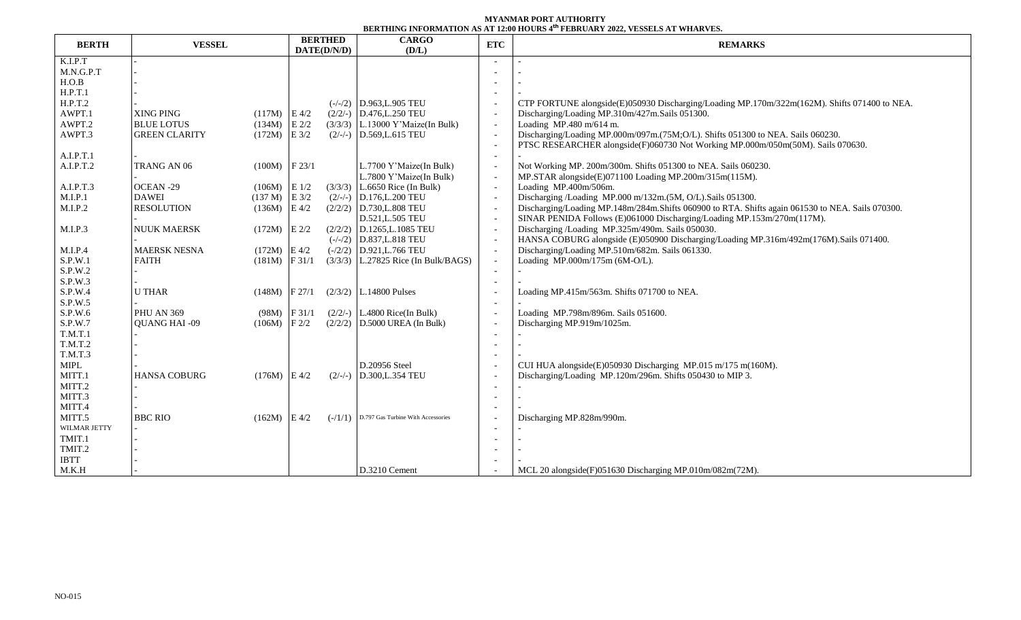## **MYANMAR PORT AUTHORITY BERTHING INFORMATION AS AT 12:00 HOURS 4 th FEBRUARY 2022, VESSELS AT WHARVES.**

| <b>BERTH</b>   | <b>VESSEL</b>        |                 | <b>BERTHED</b><br>DATE(D/N/D) |           | <b>CARGO</b>                          | <b>ETC</b>               | DERTHING INFORMATION AS AT 12,00 HOURS TITEDROART 2022, TESSEES AT WHARTES<br><b>REMARKS</b>     |  |  |  |  |
|----------------|----------------------|-----------------|-------------------------------|-----------|---------------------------------------|--------------------------|--------------------------------------------------------------------------------------------------|--|--|--|--|
|                |                      |                 |                               |           | (D/L)                                 |                          |                                                                                                  |  |  |  |  |
| K.I.P.T        |                      |                 |                               |           |                                       |                          |                                                                                                  |  |  |  |  |
| M.N.G.P.T      |                      |                 |                               |           |                                       |                          |                                                                                                  |  |  |  |  |
| H.O.B          |                      |                 |                               |           |                                       |                          |                                                                                                  |  |  |  |  |
| H.P.T.1        |                      |                 |                               |           |                                       |                          |                                                                                                  |  |  |  |  |
| H.P.T.2        |                      |                 |                               |           | $(-/-/2)$ D.963, L.905 TEU            |                          | CTP FORTUNE alongside(E)050930 Discharging/Loading MP.170m/322m(162M). Shifts 071400 to NEA.     |  |  |  |  |
| AWPT.1         | XING PING            | $(117M)$ E 4/2  |                               |           | $(2/2/-)$ D.476, L.250 TEU            |                          | Discharging/Loading MP.310m/427m.Sails 051300.                                                   |  |  |  |  |
| AWPT.2         | <b>BLUE LOTUS</b>    | $(134M)$ E 2/2  |                               |           | $(3/3/3)$ L.13000 Y'Maize(In Bulk)    | $\overline{\phantom{a}}$ | Loading MP.480 m/614 m.                                                                          |  |  |  |  |
| AWPT.3         | <b>GREEN CLARITY</b> | $(172M)$ E 3/2  |                               |           | $(2/-/-)$ D.569, L.615 TEU            | $\sim$                   | Discharging/Loading MP.000m/097m.(75M;O/L). Shifts 051300 to NEA. Sails 060230.                  |  |  |  |  |
|                |                      |                 |                               |           |                                       |                          | PTSC RESEARCHER alongside(F)060730 Not Working MP.000m/050m(50M). Sails 070630.                  |  |  |  |  |
| A.I.P.T.1      |                      |                 |                               |           |                                       |                          |                                                                                                  |  |  |  |  |
| A.I.P.T.2      | TRANG AN 06          | $(100M)$ F 23/1 |                               |           | L.7700 Y'Maize(In Bulk)               |                          | Not Working MP. 200m/300m. Shifts 051300 to NEA. Sails 060230.                                   |  |  |  |  |
|                |                      |                 |                               |           | L.7800 Y'Maize(In Bulk)               | $\overline{\phantom{a}}$ | MP.STAR alongside(E)071100 Loading MP.200m/315m(115M).                                           |  |  |  |  |
| A.I.P.T.3      | OCEAN-29             | $(106M)$ E 1/2  |                               | (3/3/3)   | L.6650 Rice (In Bulk)                 | $\overline{\phantom{a}}$ | Loading MP.400m/506m.                                                                            |  |  |  |  |
| M.I.P.1        | <b>DAWEI</b>         | $(137 M)$ E 3/2 |                               |           | $(2/-/-)$ D.176, L.200 TEU            | $\sim$                   | Discharging /Loading MP.000 m/132m.(5M, O/L).Sails 051300.                                       |  |  |  |  |
| M.I.P.2        | <b>RESOLUTION</b>    | $(136M)$ E 4/2  |                               |           | $(2/2/2)$ D.730, L.808 TEU            | $\overline{\phantom{a}}$ | Discharging/Loading MP.148m/284m.Shifts 060900 to RTA. Shifts again 061530 to NEA. Sails 070300. |  |  |  |  |
|                |                      |                 |                               |           | D.521, L.505 TEU                      | $\overline{\phantom{a}}$ | SINAR PENIDA Follows (E)061000 Discharging/Loading MP.153m/270m(117M).                           |  |  |  |  |
| M.I.P.3        | <b>NUUK MAERSK</b>   | $(172M)$ E 2/2  |                               |           | $(2/2/2)$ D.1265, L.1085 TEU          | $\overline{\phantom{a}}$ | Discharging /Loading MP.325m/490m. Sails 050030.                                                 |  |  |  |  |
|                |                      |                 |                               |           | $(-/-/2)$ D.837, L.818 TEU            | $\overline{a}$           | HANSA COBURG alongside (E)050900 Discharging/Loading MP.316m/492m(176M).Sails 071400.            |  |  |  |  |
| M.I.P.4        | <b>MAERSK NESNA</b>  | $(172M)$ E 4/2  |                               |           | $(-/2/2)$ D.921, L.766 TEU            | $\overline{\phantom{a}}$ | Discharging/Loading MP.510m/682m. Sails 061330.                                                  |  |  |  |  |
| S.P.W.1        | <b>FAITH</b>         | $(181M)$ F 31/1 |                               |           | $(3/3/3)$ L.27825 Rice (In Bulk/BAGS) |                          | Loading MP.000m/175m (6M-O/L).                                                                   |  |  |  |  |
| S.P.W.2        |                      |                 |                               |           |                                       |                          |                                                                                                  |  |  |  |  |
| S.P.W.3        |                      |                 |                               |           |                                       |                          |                                                                                                  |  |  |  |  |
| S.P.W.4        | <b>U THAR</b>        | $(148M)$ F 27/1 |                               |           | $(2/3/2)$ L.14800 Pulses              |                          | Loading MP.415m/563m. Shifts 071700 to NEA.                                                      |  |  |  |  |
| S.P.W.5        |                      |                 |                               |           |                                       |                          |                                                                                                  |  |  |  |  |
| S.P.W.6        | PHU AN 369           | $(98M)$ F 31/1  |                               |           | $(2/2/-)$ L.4800 Rice(In Bulk)        |                          | Loading MP.798m/896m. Sails 051600.                                                              |  |  |  |  |
| S.P.W.7        | <b>OUANG HAI -09</b> | $(106M)$ F 2/2  |                               |           | $(2/2/2)$ D.5000 UREA (In Bulk)       |                          | Discharging MP.919m/1025m.                                                                       |  |  |  |  |
| T.M.T.1        |                      |                 |                               |           |                                       |                          |                                                                                                  |  |  |  |  |
| T.M.T.2        |                      |                 |                               |           |                                       |                          |                                                                                                  |  |  |  |  |
| <b>T.M.T.3</b> |                      |                 |                               |           |                                       |                          |                                                                                                  |  |  |  |  |
| MIPL           |                      |                 |                               |           | D.20956 Steel                         |                          | CUI HUA alongside(E)050930 Discharging MP.015 m/175 m(160M).                                     |  |  |  |  |
| MITT.1         | <b>HANSA COBURG</b>  | $(176M)$ E 4/2  |                               |           | $(2/-/-)$ D.300, L.354 TEU            |                          | Discharging/Loading MP.120m/296m. Shifts 050430 to MIP 3.                                        |  |  |  |  |
| MITT.2         |                      |                 |                               |           |                                       |                          |                                                                                                  |  |  |  |  |
| MITT.3         |                      |                 |                               |           |                                       |                          |                                                                                                  |  |  |  |  |
| MITT.4         |                      |                 |                               |           |                                       |                          |                                                                                                  |  |  |  |  |
| MITT.5         | <b>BBC RIO</b>       | $(162M)$ E 4/2  |                               | $(-/1/1)$ | D.797 Gas Turbine With Accessories    |                          | Discharging MP.828m/990m.                                                                        |  |  |  |  |
| WILMAR JETTY   |                      |                 |                               |           |                                       |                          |                                                                                                  |  |  |  |  |
| TMIT.1         |                      |                 |                               |           |                                       |                          |                                                                                                  |  |  |  |  |
| TMIT.2         |                      |                 |                               |           |                                       |                          |                                                                                                  |  |  |  |  |
| <b>IBTT</b>    |                      |                 |                               |           |                                       |                          |                                                                                                  |  |  |  |  |
| M.K.H          |                      |                 |                               |           | D.3210 Cement                         |                          | MCL 20 alongside(F)051630 Discharging MP.010m/082m(72M).                                         |  |  |  |  |